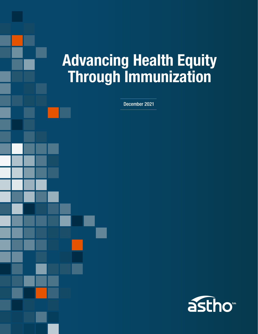# Advancing Health Equity Through Immunization

December 2021

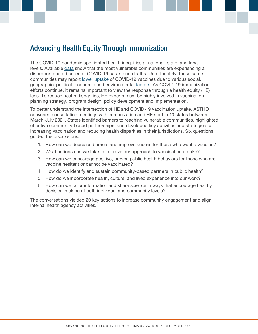# Advancing Health Equity Through Immunization

The COVID-19 pandemic spotlighted health inequities at national, state, and local levels. Available [data](https://www.cdc.gov/coronavirus/2019-ncov/community/health-equity/racial-ethnic-disparities/index.html) show that the most vulnerable communities are experiencing a disproportionate burden of COVID-19 cases and deaths. Unfortunately, these same communities may report [lower uptake](https://www.cdc.gov/coronavirus/2019-ncov/community/health-equity/vaccine-equity.html) of COVID-19 vaccines due to various social, geographic, political, economic and environmental [factors.](https://www.cdc.gov/coronavirus/2019-ncov/community/health-equity/race-ethnicity.html#anchor_1595551025605) As COVID-19 immunization efforts continue, it remains important to view the response through a health equity (HE) lens. To reduce health disparities, HE experts must be highly involved in vaccination planning strategy, program design, policy development and implementation.

To better understand the intersection of HE and COVID-19 vaccination uptake, ASTHO convened consultation meetings with immunization and HE staff in 10 states between March-July 2021. States identified barriers to reaching vulnerable communities, highlighted effective community-based partnerships, and developed key activities and strategies for increasing vaccination and reducing health disparities in their jurisdictions. Six questions guided the discussions:

- 1. How can we decrease barriers and improve access for those who want a vaccine?
- 2. What actions can we take to improve our approach to vaccination uptake?
- 3. How can we encourage positive, proven public health behaviors for those who are vaccine hesitant or cannot be vaccinated?
- 4. How do we identify and sustain community-based partners in public health?
- 5. How do we incorporate health, culture, and lived experience into our work?
- 6. How can we tailor information and share science in ways that encourage healthy decision-making at both individual and community levels?

The conversations yielded 20 key actions to increase community engagement and align internal health agency activities.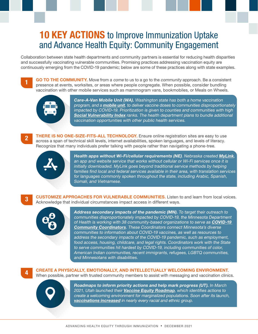# **10 KEY ACTIONS** to Improve Immunization Uptake and Advance Health Equity: Community Engagement

Collaboration between state health departments and community partners is essential for reducing health disparities and successfully vaccinating vulnerable communities. Promising practices addressing vaccination equity are continuously emerging from the COVID-19 pandemic; below are some of these practices along with state examples.



**GO TO THE COMMUNITY.** Move from a come to us to a go to the community approach. Be a consistent presence at events, worksites, or areas where people congregate. When possible, consider bundling vaccination with other mobile services such as mammogram vans, bookmobiles, or Meals on Wheels.



Care-A-Van Mobile Unit (WA). Washington state has both a home vaccination program, and a [mobile unit](https://www.doh.wa.gov/Emergencies/COVID19/Vaccine/CareaVan), to deliver vaccine doses to communities disproportionately impacted by COVID-19. Prioritization is given to counties and communities with high [Social Vulnerability Index](https://svi.cdc.gov/Documents/FactSheet/SVIFactSheet.pdf#:~:text=CDC%E2%80%99s%20SVI%20uses%20U.S.%20Census%20data%20to%20determine,four%20themes%2C%20as%20well%20as%20an%20overall%20ranking.) ranks. The health department plans to bundle additional vaccination opportunities with other public health services.



**2** THERE IS NO ONE-SIZE-FITS-ALL TECHNOLOGY. Ensure online registration sites are easy to use across a span of technical skill levels, internet availabilities, spoken languages, and levels of literacy. Recognize that many individuals prefer talking with people rather than navigating a phone-tree.



Health apps without Wi-Fi/cellular requirements (NE). Nebraska created [MyLink](https://mylnk.app/set-language?currentUrl=home), an app and website service that works without cellular or Wi-Fi services once it is initially downloaded. MyLink goes beyond traditional service methods by helping families find local and federal services available in their area, with translation services for languages commonly spoken throughout the state, including Arabic, Spanish, Somali, and Vietnamese.

**CUSTOMIZE APPROACHES FOR VULNERABLE COMMUNITIES.** Listen to and learn from local voices. Acknowledge that individual circumstances impact access in different ways.



Address secondary impacts of the pandemic (MN). To target their outreach to communities disproportionately impacted by COVID-19, the Minnesota Department of Health is working with 38 community-based organizations to serve as **COVID-19** [Community Coordinators](https://www.health.state.mn.us/ccc). These Coordinators connect Minnesota's diverse communities to information about COVID-19 vaccines, as well as resources to address the secondary impacts of the COVID-19 pandemic, such as employment, food access, housing, childcare, and legal rights. Coordinators work with the State to serve communities hit hardest by COVID-19, including communities of color, American Indian communities, recent immigrants, refugees, LGBTQ communities, and Minnesotans with disabilities.

CREATE A PHYSICALLY, EMOTIONALLY, AND INTELLECTUALLY WELCOMING ENVIRONMENT. When possible, partner with trusted community members to assist with messaging and vaccination clinics.



Roadmaps to inform priority actions and help mark progress (UT). In March 2021, Utah launched their **[Vaccine Equity Roadmap](https://coronavirus-download.utah.gov/Health/Vaccine_Equity_Roadmap.pdf)**, which identifies actions to create a welcoming environment for marginalized populations. Soon after its launch, [vaccinations increased](https://coronavirus-dashboard.utah.gov/vaccines.html) in nearly every racial and ethnic group.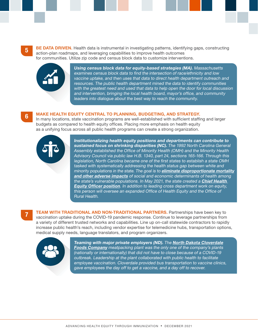**5 BE DATA DRIVEN.** Health data is instrumental in investigating patterns, identifying gaps, constructing action-plan roadmaps, and leveraging capabilities to improve health outcomes for communities. Utilize zip code and census block data to customize interventions.



Using census block data for equity-based strategies (MA). Massachusetts examines census block data to find the intersection of race/ethnicity and low vaccine uptake, and then uses that data to direct health department outreach and resources. The public health department mined the data to identify communities with the greatest need and used that data to help open the door for local discussion and intervention, bringing the local health board, mayor's office, and community leaders into dialogue about the best way to reach the community.

## 6 MAKE HEALTH EQUITY CENTRAL TO PLANNING, BUDGETING, AND STRATEGY.

In many locations, state vaccination programs are well-established with sufficient staffing and larger budgets as compared to health equity offices. Placing more emphasis on health equity as a unifying focus across all public health programs can create a strong organization.



Institutionalizing health equity positions and departments can contribute to sustained focus on shrinking disparities (NC). The 1992 North Carolina General Assembly established the Office of Minority Health (OMH) and the Minority Health Advisory Council via public law H.B. 1340, part 24, sections 165-166. Through this legislation, North Carolina became one of the first states to establish a state OMH tasked with systematically addressing the health status gap between white and minority populations in the state. The goal is to *[eliminate disproportionate mortality](https://www.ncmedicaljournal.com/content/82/3/203.full)* [and other adverse impacts](https://www.ncmedicaljournal.com/content/82/3/203.full) of social and economic determinants of health among the state's vulnerable populations. In May 2021, the state created a **Chief Health [Equity Officer](https://www.governmentjobs.com/careers/northcarolina/jobs/3046957/chief-health-equity-officer) position.** In addition to leading cross department work on equity, this person will oversee an expanded Office of Health Equity and the Office of Rural Health.

**TEAM WITH TRADITIONAL AND NON-TRADITIONAL PARTNERS.** Partnerships have been key to vaccination uptake during the COVID-19 pandemic response. Continue to leverage partnerships from a variety of different trusted networks and capabilities. Line up on-call statewide contractors to rapidly increase public health's reach, including vendor expertise for telemedicine hubs, transportation options, medical supply needs, language translators, and program organizers.



Teaming with major private employers (ND). The [North Dakota Cloverdale](https://www.cloverdalefoods.com/about-us/covid-19/) [Foods Company](https://www.cloverdalefoods.com/about-us/covid-19/) meatpacking plant was the only one of the company's plants (nationally or internationally) that did not have to close because of a COVID-19 outbreak. Leadership at the plant collaborated with public health to facilitate employee vaccination. Cloverdale provided bus transportation to vaccine clinics, gave employees the day off to get a vaccine, and a day off to recover.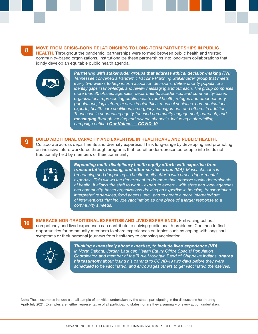8 MOVE FROM CRISIS-BORN RELATIONSHIPS TO LONG-TERM PARTNERSHIPS IN PUBLIC

**HEALTH.** Throughout the pandemic, partnerships were formed between public health and trusted community-based organizations. Institutionalize these partnerships into long-term collaborations that jointly develop an equitable public health agenda.



Partnering with stakeholder groups that address ethical decision-making (TN). Tennessee convened a Pandemic Vaccine Planning Stakeholder group that meets every two weeks to help inform allocation decisions, define priority populations, identify gaps in knowledge, and review messaging and outreach. The group comprises more than 30 offices, agencies, departments, academics, and community-based organizations representing public health, rural health, refugee and other minority populations, legislators, experts in bioethics, medical societies, communications experts, health care coalitions, emergency management, and others. In addition, Tennessee is conducting equity-focused community engagement, outreach, and [messaging](https://www.tn.gov/health/cedep/ncov/covid-19-vaccine/covid19-vaccination-comm-toolkit.html) through varying and diverse channels, including a storytelling campaign entitled **Our Voices - COVID-19**.

## **9 BUILD ADDITIONAL CAPACITY AND EXPERTISE IN HEALTHCARE AND PUBLIC HEALTH.**

Collaborate across departments and diversify expertise. Think long-range by developing and promoting an inclusive future workforce through programs that recruit underrepresented people into fields not traditionally held by members of their community.



Expanding multi-disciplinary health equity efforts with expertise from transportation, housing, and other service areas (MA). Massachusetts is broadening and deepening its health equity efforts with cross-departmental expertise. This allows the department to do more than observe social determinants of health. It allows the staff to work - expert to expert - with state and local agencies and community-based organizations drawing on expertise in housing, transportation, interpretative services, food access, etc., and to create a more integrated set of interventions that include vaccination as one piece of a larger response to a community's needs.

10 EMBRACE NON-TRADITIONAL EXPERTISE AND LIVED EXPERIENCE. Embracing cultural competency and lived experience can contribute to solving public health problems. Continue to find opportunities for community members to share experiences on topics such as coping with long-haul symptoms or their personal journeys from hesitancy to choosing vaccination.



Thinking expansively about expertise, to include lived experience (ND). In North Dakota, Jordan Laducer, Health Equity Office Special Population Coordinator, and member of the Turtle Mountain Band of Chippewa Indians, shares [his testimony](https://www.facebook.com/ndhealth/videos/1525646294306853/) about losing his parents to COVID-19 two days before they were scheduled to be vaccinated, and encourages others to get vaccinated themselves.

Note: These examples include a small sample of activities undertaken by the states participating in the discussions held during April-July 2021. Examples are neither representative of all participating states nor are they a summary of every action undertaken.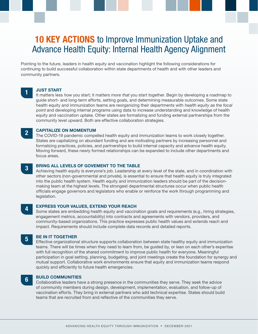# **10 KEY ACTIONS** to Improve Immunization Uptake and Advance Health Equity: Internal Health Agency Alignment

Pointing to the future, leaders in health equity and vaccination highlight the following considerations for continuing to build successful collaboration within state departments of health and with other leaders and community partners.

#### **JUST START**

It matters less how you start; it matters more that you start together. Begin by developing a roadmap to guide short- and long-term efforts, setting goals, and determining measurable outcomes. Some state health equity and immunization teams are reorganizing their departments with health equity as the focal point and developing internal programs using data to increase understanding and knowledge of health equity and vaccination uptake. Other states are formalizing and funding external partnerships from the community level upward. Both are effective collaboration strategies.

#### **CAPITALIZE ON MOMENTUM**

The COVID-19 pandemic compelled health equity and immunization teams to work closely together. States are capitalizing on abundant funding and are motivating partners by increasing personnel and formalizing practices, policies, and partnerships to build internal capacity and advance health equity. Moving forward, these newly formed relationships can be expanded to include other departments and focus areas.

## **3 BRING ALL LEVELS OF GOVEMENT TO THE TABLE**

Achieving health equity is everyone's job. Leadership at every level of the state, and in coordination with other sectors (non-governmental and private), is essential to ensure that health equity is truly integrated into the public health system. Health equity and immunization leaders should be part of the decisionmaking team at the highest levels. The strongest departmental structures occur when public health officials engage governors and legislators who enable or reinforce the work through programming and legislation.

#### **EXPRESS YOUR VALUES, EXTEND YOUR REACH**

Some states are embedding health equity and vaccination goals and requirements (e.g., hiring strategies, engagement metrics, accountability) into contracts and agreements with vendors, providers, and community-based organizations. This practice expresses public health values and extends reach and impact. Requirements should include complete data records and detailed reports.

## 5 BE IN IT TOGETHER

Effective organizational structure supports collaboration between state healthy equity and immunization teams. There will be times when they need to learn from, be guided by, or lean on each other's expertise with full recognition of the shared commitment to improve public health for everyone. Meaningful participation in goal setting, planning, budgeting, and joint meetings create the foundation for synergy and mutual support. Collaborative work environments ensure that equity and immunization teams respond quickly and efficiently to future health emergencies.

## **6** BUILD COMMUNITIES

Collaborative leaders have a strong presence in the communities they serve. They seek the advice of community members during design, development, implementation, evaluation, and follow-up of vaccination efforts. They bring in external partners who add technical expertise. States should build teams that are recruited from and reflective of the communities they serve.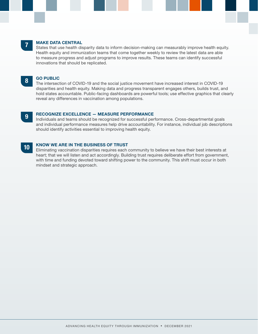#### **MAKE DATA CENTRAL**

States that use health disparity data to inform decision-making can measurably improve health equity. Health equity and immunization teams that come together weekly to review the latest data are able to measure progress and adjust programs to improve results. These teams can identify successful innovations that should be replicated.

#### 8 GO PUBLIC

The intersection of COVID-19 and the social justice movement have increased interest in COVID-19 disparities and health equity. Making data and progress transparent engages others, builds trust, and hold states accountable. Public-facing dashboards are powerful tools; use effective graphics that clearly reveal any differences in vaccination among populations.

#### 9 RECOGNIZE EXCELLENCE — MEASURE PERFORMANCE

Individuals and teams should be recognized for successful performance. Cross-departmental goals and individual performance measures help drive accountability. For instance, individual job descriptions should identify activities essential to improving health equity.

## 10 KNOW WE ARE IN THE BUSINESS OF TRUST

Eliminating vaccination disparities requires each community to believe we have their best interests at heart; that we will listen and act accordingly. Building trust requires deliberate effort from government, with time and funding devoted toward shifting power to the community. This shift must occur in both mindset and strategic approach.